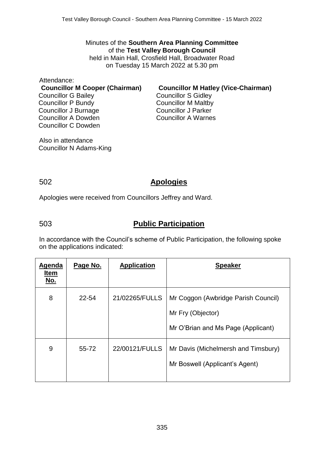Minutes of the **Southern Area Planning Committee** of the **Test Valley Borough Council** held in Main Hall, Crosfield Hall, Broadwater Road on Tuesday 15 March 2022 at 5.30 pm

Attendance: Councillor G Bailey Councillor P Bundy Councillor J Burnage Councillor A Dowden Councillor C Dowden

**Councillor M Cooper (Chairman) Councillor M Hatley (Vice-Chairman)** Councillor S Gidley Councillor M Maltby Councillor J Parker Councillor A Warnes

Also in attendance Councillor N Adams-King

#### 502 **Apologies**

Apologies were received from Councillors Jeffrey and Ward.

## 503 **Public Participation**

In accordance with the Council's scheme of Public Participation, the following spoke on the applications indicated:

| <b>Agenda</b><br><b>Item</b><br><u>No.</u> | Page No. | <b>Application</b> | <b>Speaker</b>                                                                                 |
|--------------------------------------------|----------|--------------------|------------------------------------------------------------------------------------------------|
| 8                                          | 22-54    | 21/02265/FULLS     | Mr Coggon (Awbridge Parish Council)<br>Mr Fry (Objector)<br>Mr O'Brian and Ms Page (Applicant) |
| 9                                          | 55-72    | 22/00121/FULLS     | Mr Davis (Michelmersh and Timsbury)<br>Mr Boswell (Applicant's Agent)                          |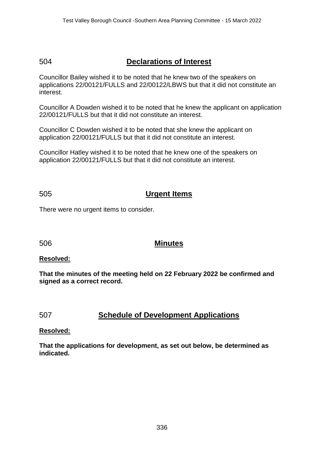# 504 **Declarations of Interest**

Councillor Bailey wished it to be noted that he knew two of the speakers on applications 22/00121/FULLS and 22/00122/LBWS but that it did not constitute an interest.

Councillor A Dowden wished it to be noted that he knew the applicant on application 22/00121/FULLS but that it did not constitute an interest.

Councillor C Dowden wished it to be noted that she knew the applicant on application 22/00121/FULLS but that it did not constitute an interest.

Councillor Hatley wished it to be noted that he knew one of the speakers on application 22/00121/FULLS but that it did not constitute an interest.

#### 505 **Urgent Items**

There were no urgent items to consider.

#### 506 **Minutes**

#### **Resolved:**

**That the minutes of the meeting held on 22 February 2022 be confirmed and signed as a correct record.**

#### 507 **Schedule of Development Applications**

#### **Resolved:**

**That the applications for development, as set out below, be determined as indicated.**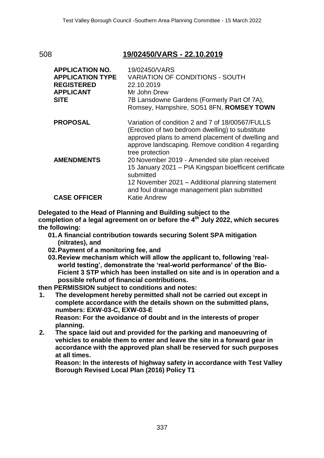# 508 **19/02450/VARS - 22.10.2019**

| <b>APPLICATION NO.</b><br><b>APPLICATION TYPE</b><br><b>REGISTERED</b><br><b>APPLICANT</b><br><b>SITE</b> | 19/02450/VARS<br><b>VARIATION OF CONDITIONS - SOUTH</b><br>22.10.2019<br>Mr John Drew<br>7B Lansdowne Gardens (Formerly Part Of 7A),<br>Romsey, Hampshire, SO51 8FN, ROMSEY TOWN                                                               |
|-----------------------------------------------------------------------------------------------------------|------------------------------------------------------------------------------------------------------------------------------------------------------------------------------------------------------------------------------------------------|
| <b>PROPOSAL</b>                                                                                           | Variation of condition 2 and 7 of 18/00567/FULLS<br>(Erection of two bedroom dwelling) to substitute<br>approved plans to amend placement of dwelling and<br>approve landscaping. Remove condition 4 regarding<br>tree protection              |
| <b>AMENDMENTS</b><br><b>CASE OFFICER</b>                                                                  | 20 November 2019 - Amended site plan received<br>15 January 2021 - PIA Kingspan bioefficent certificate<br>submitted<br>12 November 2021 - Additional planning statement<br>and foul drainage management plan submitted<br><b>Katie Andrew</b> |

**Delegated to the Head of Planning and Building subject to the completion of a legal agreement on or before the 4th July 2022, which secures the following:**

- **01.A financial contribution towards securing Solent SPA mitigation (nitrates), and**
- **02.Payment of a monitoring fee, and**
- **03.Review mechanism which will allow the applicant to, following 'realworld testing', demonstrate the 'real-world performance' of the Bio-Ficient 3 STP which has been installed on site and is in operation and a possible refund of financial contributions.**

**then PERMISSION subject to conditions and notes:**

**1. The development hereby permitted shall not be carried out except in complete accordance with the details shown on the submitted plans, numbers: EXW-03-C, EXW-03-E Reason: For the avoidance of doubt and in the interests of proper** 

**planning.**

**2. The space laid out and provided for the parking and manoeuvring of vehicles to enable them to enter and leave the site in a forward gear in accordance with the approved plan shall be reserved for such purposes at all times.**

**Reason: In the interests of highway safety in accordance with Test Valley Borough Revised Local Plan (2016) Policy T1**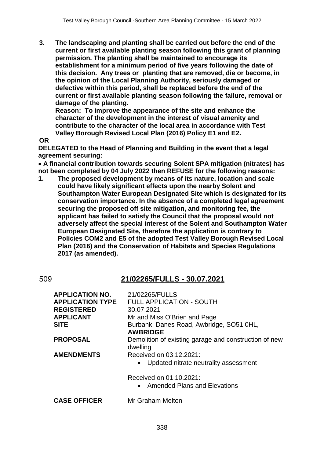**3. The landscaping and planting shall be carried out before the end of the current or first available planting season following this grant of planning permission. The planting shall be maintained to encourage its establishment for a minimum period of five years following the date of this decision. Any trees or planting that are removed, die or become, in the opinion of the Local Planning Authority, seriously damaged or defective within this period, shall be replaced before the end of the current or first available planting season following the failure, removal or damage of the planting.**

**Reason: To improve the appearance of the site and enhance the character of the development in the interest of visual amenity and contribute to the character of the local area in accordance with Test Valley Borough Revised Local Plan (2016) Policy E1 and E2.**

**OR**

**DELEGATED to the Head of Planning and Building in the event that a legal agreement securing:**

 **A financial contribution towards securing Solent SPA mitigation (nitrates) has not been completed by 04 July 2022 then REFUSE for the following reasons:**

**1. The proposed development by means of its nature, location and scale could have likely significant effects upon the nearby Solent and Southampton Water European Designated Site which is designated for its conservation importance. In the absence of a completed legal agreement securing the proposed off site mitigation, and monitoring fee, the applicant has failed to satisfy the Council that the proposal would not adversely affect the special interest of the Solent and Southampton Water European Designated Site, therefore the application is contrary to Policies COM2 and E5 of the adopted Test Valley Borough Revised Local Plan (2016) and the Conservation of Habitats and Species Regulations 2017 (as amended).**

# 509 **21/02265/FULLS - 30.07.2021**

| <b>APPLICATION NO.</b><br><b>APPLICATION TYPE</b><br><b>REGISTERED</b><br><b>APPLICANT</b><br><b>SITE</b> | 21/02265/FULLS<br><b>FULL APPLICATION - SOUTH</b><br>30.07.2021<br>Mr and Miss O'Brien and Page<br>Burbank, Danes Road, Awbridge, SO51 0HL,<br><b>AWBRIDGE</b> |
|-----------------------------------------------------------------------------------------------------------|----------------------------------------------------------------------------------------------------------------------------------------------------------------|
| <b>PROPOSAL</b>                                                                                           | Demolition of existing garage and construction of new<br>dwelling                                                                                              |
| <b>AMENDMENTS</b>                                                                                         | Received on 03.12.2021:<br>Updated nitrate neutrality assessment<br>Received on 01.10.2021:<br><b>Amended Plans and Elevations</b><br>$\bullet$                |
| <b>CASE OFFICER</b>                                                                                       | Mr Graham Melton                                                                                                                                               |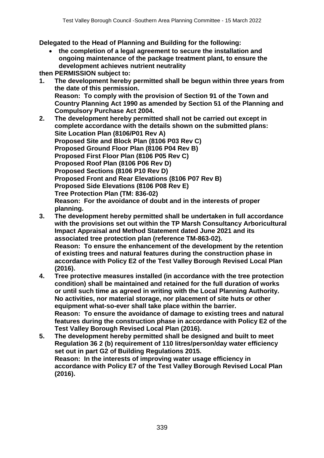**Delegated to the Head of Planning and Building for the following:**

 **the completion of a legal agreement to secure the installation and ongoing maintenance of the package treatment plant, to ensure the development achieves nutrient neutrality** 

**then PERMISSION subject to:**

- **1. The development hereby permitted shall be begun within three years from the date of this permission. Reason: To comply with the provision of Section 91 of the Town and Country Planning Act 1990 as amended by Section 51 of the Planning and Compulsory Purchase Act 2004.**
- **2. The development hereby permitted shall not be carried out except in complete accordance with the details shown on the submitted plans: Site Location Plan (8106/P01 Rev A) Proposed Site and Block Plan (8106 P03 Rev C) Proposed Ground Floor Plan (8106 P04 Rev B) Proposed First Floor Plan (8106 P05 Rev C) Proposed Roof Plan (8106 P06 Rev D) Proposed Sections (8106 P10 Rev D) Proposed Front and Rear Elevations (8106 P07 Rev B) Proposed Side Elevations (8106 P08 Rev E) Tree Protection Plan (TM: 836-02) Reason: For the avoidance of doubt and in the interests of proper planning.**
- **3. The development hereby permitted shall be undertaken in full accordance with the provisions set out within the TP Marsh Consultancy Arboricultural Impact Appraisal and Method Statement dated June 2021 and its associated tree protection plan (reference TM-863-02). Reason: To ensure the enhancement of the development by the retention of existing trees and natural features during the construction phase in accordance with Policy E2 of the Test Valley Borough Revised Local Plan (2016).**
- **4. Tree protective measures installed (in accordance with the tree protection condition) shall be maintained and retained for the full duration of works or until such time as agreed in writing with the Local Planning Authority. No activities, nor material storage, nor placement of site huts or other equipment what-so-ever shall take place within the barrier. Reason: To ensure the avoidance of damage to existing trees and natural features during the construction phase in accordance with Policy E2 of the Test Valley Borough Revised Local Plan (2016).**
- **5. The development hereby permitted shall be designed and built to meet Regulation 36 2 (b) requirement of 110 litres/person/day water efficiency set out in part G2 of Building Regulations 2015. Reason: In the interests of improving water usage efficiency in accordance with Policy E7 of the Test Valley Borough Revised Local Plan (2016).**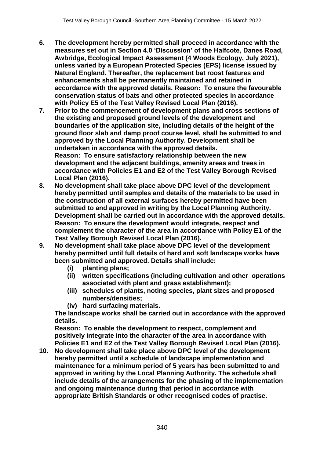- **6. The development hereby permitted shall proceed in accordance with the measures set out in Section 4.0 'Discussion' of the Halfcote, Danes Road, Awbridge, Ecological Impact Assessment (4 Woods Ecology, July 2021), unless varied by a European Protected Species (EPS) license issued by Natural England. Thereafter, the replacement bat roost features and enhancements shall be permanently maintained and retained in accordance with the approved details. Reason: To ensure the favourable conservation status of bats and other protected species in accordance with Policy E5 of the Test Valley Revised Local Plan (2016).**
- **7. Prior to the commencement of development plans and cross sections of the existing and proposed ground levels of the development and boundaries of the application site, including details of the height of the ground floor slab and damp proof course level, shall be submitted to and approved by the Local Planning Authority. Development shall be undertaken in accordance with the approved details. Reason: To ensure satisfactory relationship between the new development and the adjacent buildings, amenity areas and trees in accordance with Policies E1 and E2 of the Test Valley Borough Revised Local Plan (2016).**
- **8. No development shall take place above DPC level of the development hereby permitted until samples and details of the materials to be used in the construction of all external surfaces hereby permitted have been submitted to and approved in writing by the Local Planning Authority. Development shall be carried out in accordance with the approved details. Reason: To ensure the development would integrate, respect and complement the character of the area in accordance with Policy E1 of the Test Valley Borough Revised Local Plan (2016).**
- **9. No development shall take place above DPC level of the development hereby permitted until full details of hard and soft landscape works have been submitted and approved. Details shall include:** 
	- **(i) planting plans;**
	- **(ii) written specifications (including cultivation and other operations associated with plant and grass establishment);**
	- **(iii) schedules of plants, noting species, plant sizes and proposed numbers/densities;**
	- **(iv) hard surfacing materials.**

**The landscape works shall be carried out in accordance with the approved details.**

**Reason: To enable the development to respect, complement and positively integrate into the character of the area in accordance with Policies E1 and E2 of the Test Valley Borough Revised Local Plan (2016).**

**10. No development shall take place above DPC level of the development hereby permitted until a schedule of landscape implementation and maintenance for a minimum period of 5 years has been submitted to and approved in writing by the Local Planning Authority. The schedule shall include details of the arrangements for the phasing of the implementation and ongoing maintenance during that period in accordance with appropriate British Standards or other recognised codes of practise.**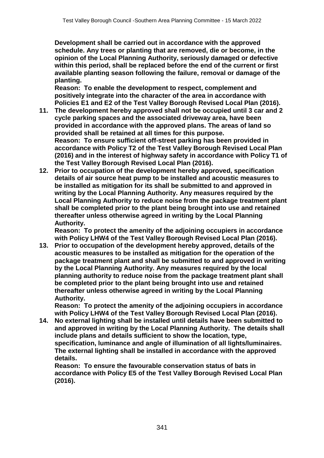**Development shall be carried out in accordance with the approved schedule. Any trees or planting that are removed, die or become, in the opinion of the Local Planning Authority, seriously damaged or defective within this period, shall be replaced before the end of the current or first available planting season following the failure, removal or damage of the planting.** 

**Reason: To enable the development to respect, complement and positively integrate into the character of the area in accordance with Policies E1 and E2 of the Test Valley Borough Revised Local Plan (2016).**

- **11. The development hereby approved shall not be occupied until 3 car and 2 cycle parking spaces and the associated driveway area, have been provided in accordance with the approved plans. The areas of land so provided shall be retained at all times for this purpose. Reason: To ensure sufficient off-street parking has been provided in accordance with Policy T2 of the Test Valley Borough Revised Local Plan (2016) and in the interest of highway safety in accordance with Policy T1 of the Test Valley Borough Revised Local Plan (2016).**
- **12. Prior to occupation of the development hereby approved, specification details of air source heat pump to be installed and acoustic measures to be installed as mitigation for its shall be submitted to and approved in writing by the Local Planning Authority. Any measures required by the Local Planning Authority to reduce noise from the package treatment plant shall be completed prior to the plant being brought into use and retained thereafter unless otherwise agreed in writing by the Local Planning Authority.**

**Reason: To protect the amenity of the adjoining occupiers in accordance with Policy LHW4 of the Test Valley Borough Revised Local Plan (2016).**

**13. Prior to occupation of the development hereby approved, details of the acoustic measures to be installed as mitigation for the operation of the package treatment plant and shall be submitted to and approved in writing by the Local Planning Authority. Any measures required by the local planning authority to reduce noise from the package treatment plant shall be completed prior to the plant being brought into use and retained thereafter unless otherwise agreed in writing by the Local Planning Authority.**

**Reason: To protect the amenity of the adjoining occupiers in accordance with Policy LHW4 of the Test Valley Borough Revised Local Plan (2016).**

**14. No external lighting shall be installed until details have been submitted to and approved in writing by the Local Planning Authority. The details shall include plans and details sufficient to show the location, type, specification, luminance and angle of illumination of all lights/luminaires. The external lighting shall be installed in accordance with the approved details.**

**Reason: To ensure the favourable conservation status of bats in accordance with Policy E5 of the Test Valley Borough Revised Local Plan (2016).**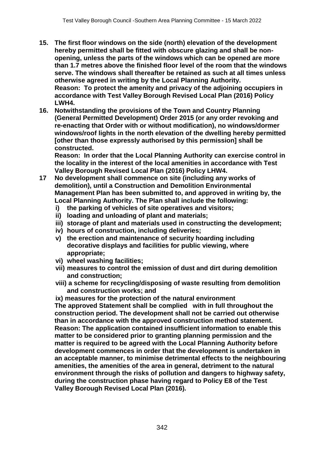- **15. The first floor windows on the side (north) elevation of the development hereby permitted shall be fitted with obscure glazing and shall be nonopening, unless the parts of the windows which can be opened are more than 1.7 metres above the finished floor level of the room that the windows serve. The windows shall thereafter be retained as such at all times unless otherwise agreed in writing by the Local Planning Authority. Reason: To protect the amenity and privacy of the adjoining occupiers in accordance with Test Valley Borough Revised Local Plan (2016) Policy LWH4.**
- **16. Notwithstanding the provisions of the Town and Country Planning (General Permitted Development) Order 2015 (or any order revoking and re-enacting that Order with or without modification), no windows/dormer windows/roof lights in the north elevation of the dwelling hereby permitted [other than those expressly authorised by this permission] shall be constructed.**

**Reason: In order that the Local Planning Authority can exercise control in the locality in the interest of the local amenities in accordance with Test Valley Borough Revised Local Plan (2016) Policy LHW4.**

- **17 No development shall commence on site (including any works of demolition), until a Construction and Demolition Environmental Management Plan has been submitted to, and approved in writing by, the Local Planning Authority. The Plan shall include the following:**
	- **i) the parking of vehicles of site operatives and visitors;**
	- **ii) loading and unloading of plant and materials;**
	- **iii) storage of plant and materials used in constructing the development;**
	- **iv) hours of construction, including deliveries;**
	- **v) the erection and maintenance of security hoarding including decorative displays and facilities for public viewing, where appropriate;**
	- **vi) wheel washing facilities;**
	- **vii) measures to control the emission of dust and dirt during demolition and construction;**
	- **viii) a scheme for recycling/disposing of waste resulting from demolition and construction works; and**
	- **ix) measures for the protection of the natural environment**

**The approved Statement shall be complied with in full throughout the construction period. The development shall not be carried out otherwise than in accordance with the approved construction method statement. Reason: The application contained insufficient information to enable this matter to be considered prior to granting planning permission and the matter is required to be agreed with the Local Planning Authority before development commences in order that the development is undertaken in an acceptable manner, to minimise detrimental effects to the neighbouring amenities, the amenities of the area in general, detriment to the natural environment through the risks of pollution and dangers to highway safety, during the construction phase having regard to Policy E8 of the Test Valley Borough Revised Local Plan (2016).**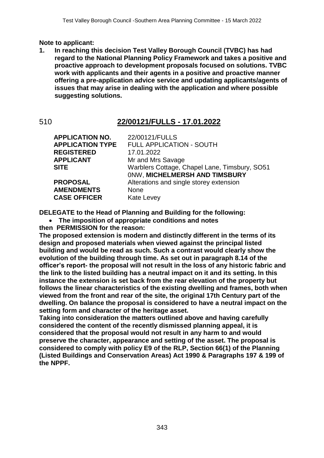#### **Note to applicant:**

**1. In reaching this decision Test Valley Borough Council (TVBC) has had regard to the National Planning Policy Framework and takes a positive and proactive approach to development proposals focused on solutions. TVBC work with applicants and their agents in a positive and proactive manner offering a pre-application advice service and updating applicants/agents of issues that may arise in dealing with the application and where possible suggesting solutions.**

#### 510 **22/00121/FULLS - 17.01.2022**

| <b>APPLICATION NO.</b><br><b>APPLICATION TYPE</b> | 22/00121/FULLS<br><b>FULL APPLICATION - SOUTH</b>                              |
|---------------------------------------------------|--------------------------------------------------------------------------------|
| <b>REGISTERED</b>                                 | 17.01.2022                                                                     |
| <b>APPLICANT</b>                                  | Mr and Mrs Savage                                                              |
| <b>SITE</b>                                       | Warblers Cottage, Chapel Lane, Timsbury, SO51<br>ONW, MICHELMERSH AND TIMSBURY |
| <b>PROPOSAL</b>                                   | Alterations and single storey extension                                        |
| <b>AMENDMENTS</b><br><b>CASE OFFICER</b>          | <b>None</b><br><b>Kate Levey</b>                                               |

**DELEGATE to the Head of Planning and Building for the following:**

**The imposition of appropriate conditions and notes**

**then PERMISSION for the reason:**

**The proposed extension is modern and distinctly different in the terms of its design and proposed materials when viewed against the principal listed building and would be read as such. Such a contrast would clearly show the evolution of the building through time. As set out in paragraph 8.14 of the officer's report- the proposal will not result in the loss of any historic fabric and the link to the listed building has a neutral impact on it and its setting. In this instance the extension is set back from the rear elevation of the property but follows the linear characteristics of the existing dwelling and frames, both when viewed from the front and rear of the site, the original 17th Century part of the dwelling. On balance the proposal is considered to have a neutral impact on the setting form and character of the heritage asset.** 

**Taking into consideration the matters outlined above and having carefully considered the content of the recently dismissed planning appeal, it is considered that the proposal would not result in any harm to and would preserve the character, appearance and setting of the asset. The proposal is considered to comply with policy E9 of the RLP, Section 66(1) of the Planning (Listed Buildings and Conservation Areas) Act 1990 & Paragraphs 197 & 199 of the NPPF.**